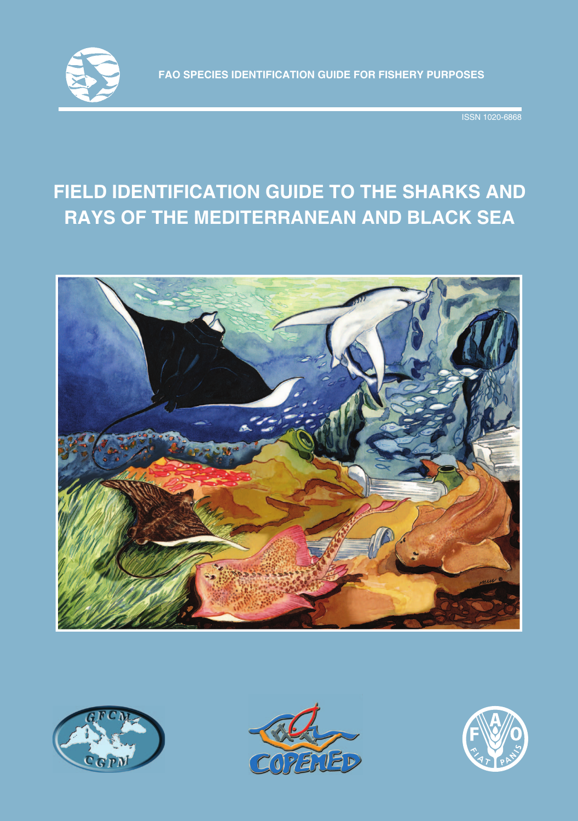

ISSN 1020-6868

# **FIELD IDENTIFICATION GUIDE TO THE SHARKS AND RAYS OF THE MEDITERRANEAN AND BLACK SEA**







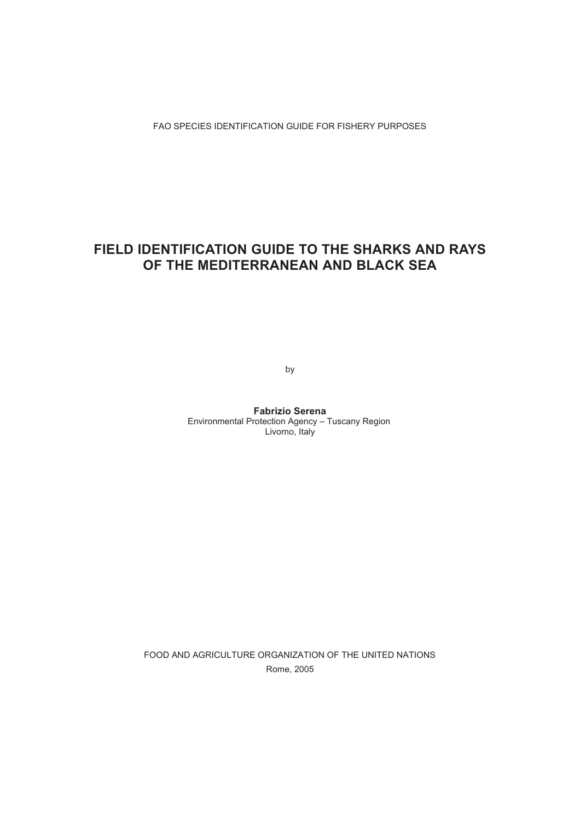## **FIELD IDENTIFICATION GUIDE TO THE SHARKS AND RAYS OF THE MEDITERRANEAN AND BLACK SEA**

by

**Fabrizio Serena** Environmental Protection Agency – Tuscany Region Livorno, Italy

FOOD AND AGRICULTURE ORGANIZATION OF THE UNITED NATIONS Rome, 2005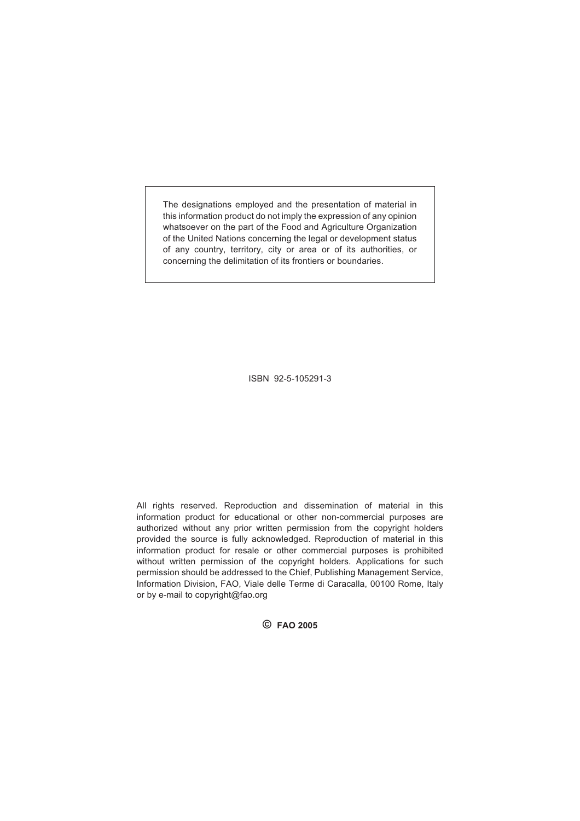The designations employed and the presentation of material in this information product do not imply the expression of any opinion whatsoever on the part of the Food and Agriculture Organization of the United Nations concerning the legal or development status of any country, territory, city or area or of its authorities, or concerning the delimitation of its frontiers or boundaries.

ISBN 92-5-105291-3

All rights reserved. Reproduction and dissemination of material in this information product for educational or other non-commercial purposes are authorized without any prior written permission from the copyright holders provided the source is fully acknowledged. Reproduction of material in this information product for resale or other commercial purposes is prohibited without written permission of the copyright holders. Applications for such permission should be addressed to the Chief, Publishing Management Service, Information Division, FAO, Viale delle Terme di Caracalla, 00100 Rome, Italy or by e-mail to copyright@fao.org

**© FAO 2005**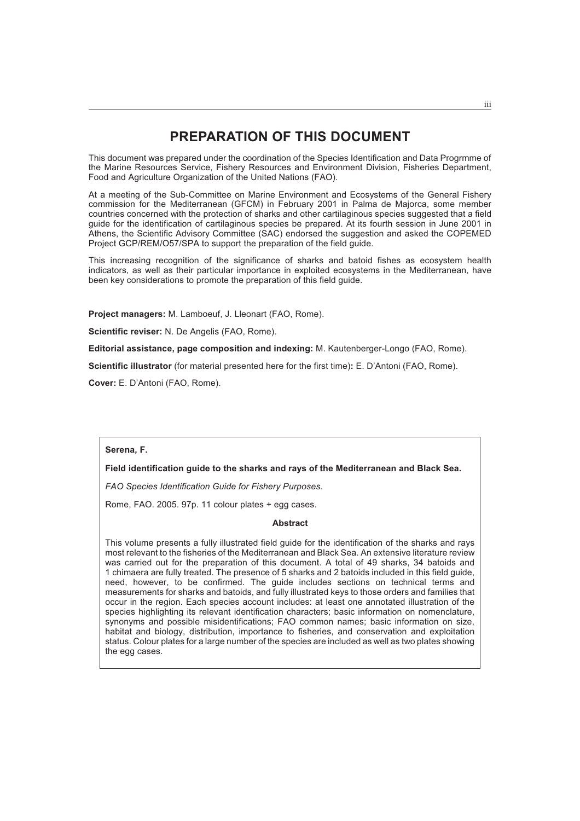## **PREPARATION OF THIS DOCUMENT**

This document was prepared under the coordination of the Species Identification and Data Progrmme of the Marine Resources Service, Fishery Resources and Environment Division, Fisheries Department, Food and Agriculture Organization of the United Nations (FAO).

At a meeting of the Sub-Committee on Marine Environment and Ecosystems of the General Fishery commission for the Mediterranean (GFCM) in February 2001 in Palma de Majorca, some member countries concerned with the protection of sharks and other cartilaginous species suggested that a field guide for the identification of cartilaginous species be prepared. At its fourth session in June 2001 in Athens, the Scientific Advisory Committee (SAC) endorsed the suggestion and asked the COPEMED Project GCP/REM/O57/SPA to support the preparation of the field guide.

This increasing recognition of the significance of sharks and batoid fishes as ecosystem health indicators, as well as their particular importance in exploited ecosystems in the Mediterranean, have been key considerations to promote the preparation of this field guide.

**Project managers:** M. Lamboeuf, J. Lleonart (FAO, Rome).

**Scientific reviser:** N. De Angelis (FAO, Rome).

**Editorial assistance, page composition and indexing:** M. Kautenberger-Longo (FAO, Rome).

**Scientific illustrator** (for material presented here for the first time)**:** E. D'Antoni (FAO, Rome).

**Cover:** E. D'Antoni (FAO, Rome).

#### **Serena, F.**

#### **Field identification guide to the sharks and rays of the Mediterranean and Black Sea.**

*FAO Species Identification Guide for Fishery Purposes.*

Rome, FAO. 2005. 97p. 11 colour plates + egg cases.

#### **Abstract**

This volume presents a fully illustrated field guide for the identification of the sharks and rays most relevant to the fisheries of the Mediterranean and Black Sea. An extensive literature review was carried out for the preparation of this document. A total of 49 sharks, 34 batoids and 1 chimaera are fully treated. The presence of 5 sharks and 2 batoids included in this field guide, need, however, to be confirmed. The guide includes sections on technical terms and measurements for sharks and batoids, and fully illustrated keys to those orders and families that occur in the region. Each species account includes: at least one annotated illustration of the species highlighting its relevant identification characters; basic information on nomenclature, synonyms and possible misidentifications; FAO common names; basic information on size, habitat and biology, distribution, importance to fisheries, and conservation and exploitation status. Colour plates for a large number of the species are included as well as two plates showing the egg cases.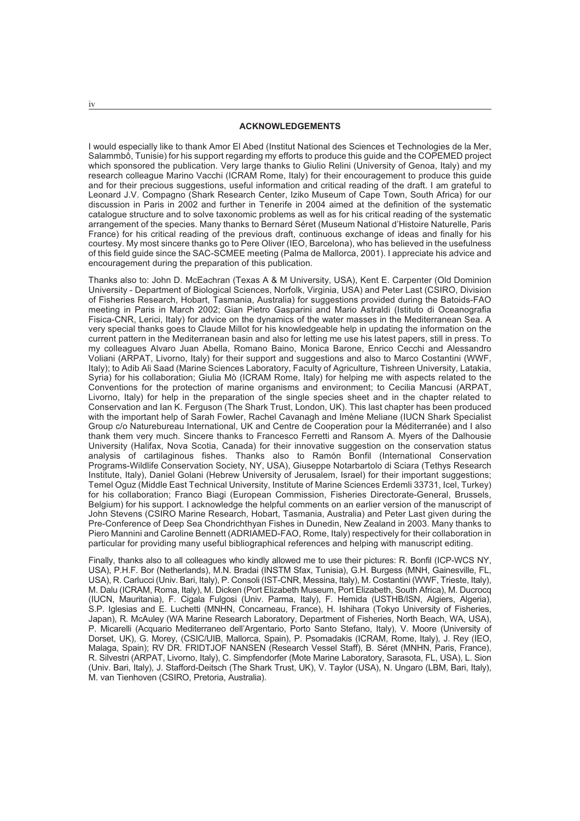#### **ACKNOWLEDGEMENTS**

I would especially like to thank Amor El Abed (Institut National des Sciences et Technologies de la Mer, Salammbô, Tunisie) for his support regarding my efforts to produce this guide and the COPEMED project which sponsored the publication. Very large thanks to Giulio Relini (University of Genoa, Italy) and my research colleague Marino Vacchi (ICRAM Rome, Italy) for their encouragement to produce this guide and for their precious suggestions, useful information and critical reading of the draft. I am grateful to Leonard J.V. Compagno (Shark Research Center, Iziko Museum of Cape Town, South Africa) for our discussion in Paris in 2002 and further in Tenerife in 2004 aimed at the definition of the systematic catalogue structure and to solve taxonomic problems as well as for his critical reading of the systematic arrangement of the species. Many thanks to Bernard Séret (Museum National d'Histoire Naturelle, Paris France) for his critical reading of the previous draft, continuous exchange of ideas and finally for his courtesy. My most sincere thanks go to Pere Oliver (IEO, Barcelona), who has believed in the usefulness of this field guide since the SAC-SCMEE meeting (Palma de Mallorca, 2001). I appreciate his advice and encouragement during the preparation of this publication.

Thanks also to: John D. McEachran (Texas A & M University, USA), Kent E. Carpenter (Old Dominion University - Department of Biological Sciences, Norfolk, Virginia, USA) and Peter Last (CSIRO, Division of Fisheries Research, Hobart, Tasmania, Australia) for suggestions provided during the Batoids-FAO meeting in Paris in March 2002; Gian Pietro Gasparini and Mario Astraldi (Istituto di Oceanografia Fisica-CNR, Lerici, Italy) for advice on the dynamics of the water masses in the Mediterranean Sea. A very special thanks goes to Claude Millot for his knowledgeable help in updating the information on the current pattern in the Mediterranean basin and also for letting me use his latest papers, still in press. To my colleagues Alvaro Juan Abella, Romano Baino, Monica Barone, Enrico Cecchi and Alessandro Voliani (ARPAT, Livorno, Italy) for their support and suggestions and also to Marco Costantini (WWF, Italy); to Adib Ali Saad (Marine Sciences Laboratory, Faculty of Agriculture, Tishreen University, Latakia, Syria) for his collaboration; Giulia Mò (ICRAM Rome, Italy) for helping me with aspects related to the Conventions for the protection of marine organisms and environment; to Cecilia Mancusi (ARPAT, Livorno, Italy) for help in the preparation of the single species sheet and in the chapter related to Conservation and Ian K. Ferguson (The Shark Trust, London, UK). This last chapter has been produced with the important help of Sarah Fowler, Rachel Cavanagh and Imène Meliane (IUCN Shark Specialist Group c/o Naturebureau International, UK and Centre de Cooperation pour la Méditerranée) and I also thank them very much. Sincere thanks to Francesco Ferretti and Ransom A. Myers of the Dalhousie University (Halifax, Nova Scotia, Canada) for their innovative suggestion on the conservation status analysis of cartilaginous fishes. Thanks also to Ramón Bonfil (International Conservation Programs-Wildlife Conservation Society, NY, USA), Giuseppe Notarbartolo di Sciara (Tethys Research Institute, Italy), Daniel Golani (Hebrew University of Jerusalem, Israel) for their important suggestions; Temel Oguz (Middle East Technical University, Institute of Marine Sciences Erdemli 33731, Icel, Turkey) for his collaboration; Franco Biagi (European Commission, Fisheries Directorate-General, Brussels, Belgium) for his support. I acknowledge the helpful comments on an earlier version of the manuscript of John Stevens (CSIRO Marine Research, Hobart, Tasmania, Australia) and Peter Last given during the Pre-Conference of Deep Sea Chondrichthyan Fishes in Dunedin, New Zealand in 2003. Many thanks to Piero Mannini and Caroline Bennett (ADRIAMED-FAO, Rome, Italy) respectively for their collaboration in particular for providing many useful bibliographical references and helping with manuscript editing.

Finally, thanks also to all colleagues who kindly allowed me to use their pictures: R. Bonfil (ICP-WCS NY, USA), P.H.F. Bor (Netherlands), M.N. Bradai (INSTM Sfax, Tunisia), G.H. Burgess (MNH, Gainesville, FL, USA), R. Carlucci (Univ. Bari, Italy), P. Consoli (IST-CNR, Messina, Italy), M. Costantini (WWF, Trieste, Italy), M. Dalu (ICRAM, Roma, Italy), M. Dicken (Port Elizabeth Museum, Port Elizabeth, South Africa), M. Ducrocq (IUCN, Mauritania), F. Cigala Fulgosi (Univ. Parma, Italy), F. Hemida (USTHB/ISN, Algiers, Algeria), S.P. Iglesias and E. Luchetti (MNHN, Concarneau, France), H. Ishihara (Tokyo University of Fisheries, Japan), R. McAuley (WA Marine Research Laboratory, Department of Fisheries, North Beach, WA, USA), P. Micarelli (Acquario Mediterraneo dell'Argentario, Porto Santo Stefano, Italy), V. Moore (University of Dorset, UK), G. Morey, (CSIC/UIB, Mallorca, Spain), P. Psomadakis (ICRAM, Rome, Italy), J. Rey (IEO, Malaga, Spain); RV DR. FRIDTJOF NANSEN (Research Vessel Staff), B. Séret (MNHN, Paris, France), R. Silvestri (ARPAT, Livorno, Italy), C. Simpfendorfer (Mote Marine Laboratory, Sarasota, FL, USA), L. Sion (Univ. Bari, Italy), J. Stafford-Deitsch (The Shark Trust, UK), V. Taylor (USA), N. Ungaro (LBM, Bari, Italy), M. van Tienhoven (CSIRO, Pretoria, Australia).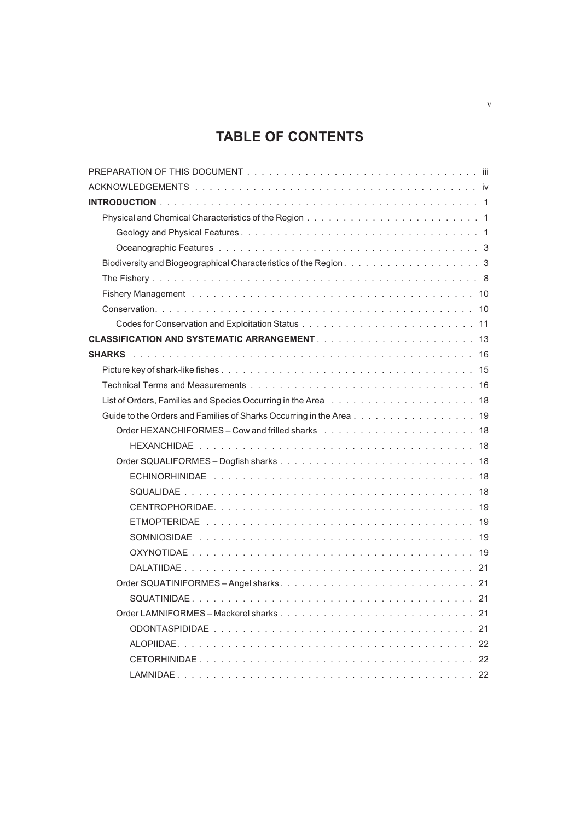## **TABLE OF CONTENTS**

| Guide to the Orders and Families of Sharks Occurring in the Area 19 |
|---------------------------------------------------------------------|
|                                                                     |
|                                                                     |
|                                                                     |
|                                                                     |
|                                                                     |
|                                                                     |
|                                                                     |
|                                                                     |
|                                                                     |
|                                                                     |
|                                                                     |
|                                                                     |
|                                                                     |
|                                                                     |
| ALOPIIDAE.                                                          |
|                                                                     |
|                                                                     |

<u> 1989 - Johann Barbara, martxa alemaniar a</u>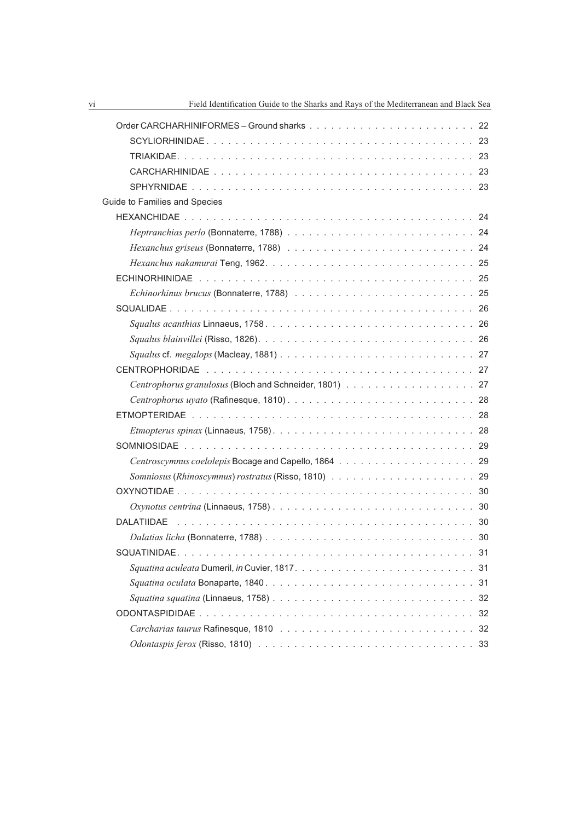| Guide to Families and Species                                                                                            |  |
|--------------------------------------------------------------------------------------------------------------------------|--|
|                                                                                                                          |  |
|                                                                                                                          |  |
|                                                                                                                          |  |
|                                                                                                                          |  |
|                                                                                                                          |  |
|                                                                                                                          |  |
|                                                                                                                          |  |
|                                                                                                                          |  |
|                                                                                                                          |  |
|                                                                                                                          |  |
|                                                                                                                          |  |
|                                                                                                                          |  |
|                                                                                                                          |  |
|                                                                                                                          |  |
|                                                                                                                          |  |
|                                                                                                                          |  |
|                                                                                                                          |  |
|                                                                                                                          |  |
|                                                                                                                          |  |
| Oxynotus centrina (Linnaeus, 1758) $\ldots \ldots \ldots \ldots \ldots \ldots \ldots \ldots \ldots \ldots \ldots$        |  |
|                                                                                                                          |  |
|                                                                                                                          |  |
|                                                                                                                          |  |
|                                                                                                                          |  |
|                                                                                                                          |  |
| Squatina squatina (Linnaeus, 1758) $\ldots \ldots \ldots \ldots \ldots \ldots \ldots \ldots \ldots \ldots \ldots \ldots$ |  |
|                                                                                                                          |  |
|                                                                                                                          |  |
|                                                                                                                          |  |
|                                                                                                                          |  |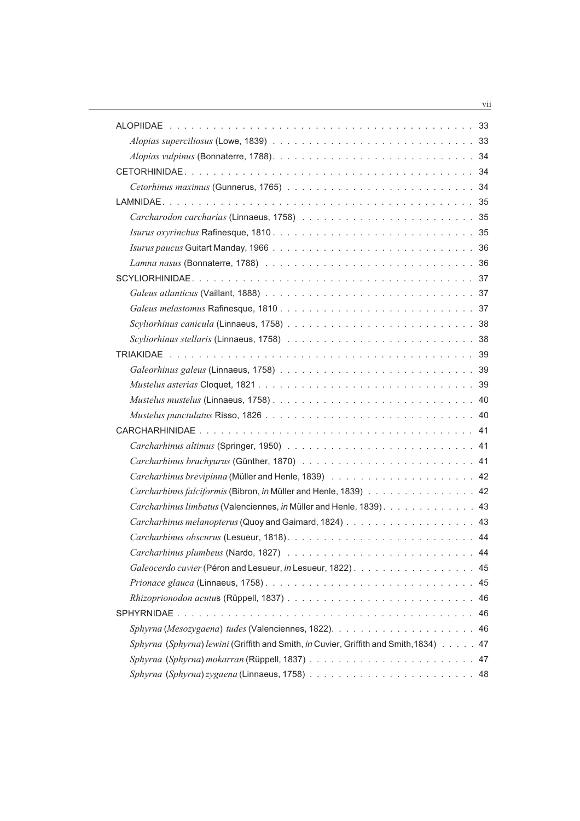| Carcharhinus falciformis (Bibron, in Müller and Henle, 1839) 42                       |
|---------------------------------------------------------------------------------------|
| Carcharhinus limbatus (Valenciennes, in Müller and Henle, 1839). 43                   |
|                                                                                       |
|                                                                                       |
|                                                                                       |
|                                                                                       |
|                                                                                       |
|                                                                                       |
|                                                                                       |
|                                                                                       |
| Sphyrna (Sphyrna) lewini (Griffith and Smith, in Cuvier, Griffith and Smith, 1834) 47 |
|                                                                                       |
|                                                                                       |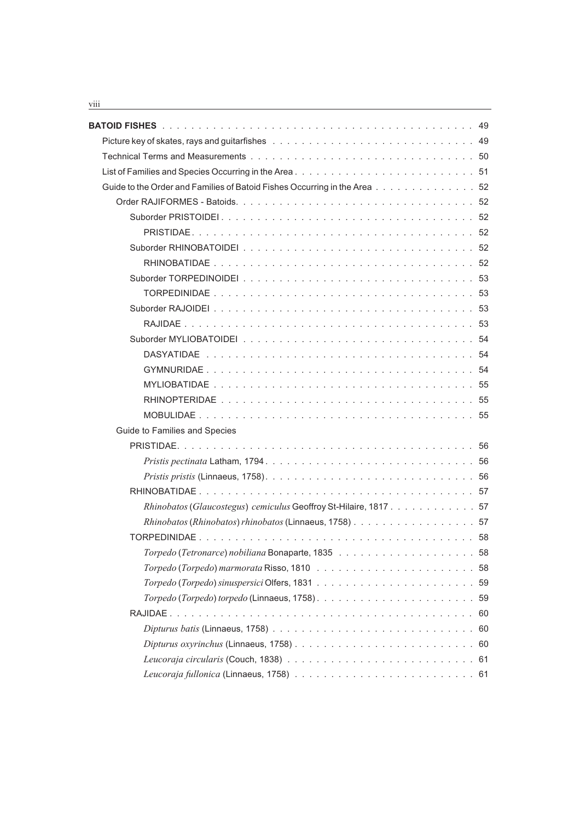| Guide to the Order and Families of Batoid Fishes Occurring in the Area52                                                      |  |
|-------------------------------------------------------------------------------------------------------------------------------|--|
|                                                                                                                               |  |
|                                                                                                                               |  |
|                                                                                                                               |  |
|                                                                                                                               |  |
|                                                                                                                               |  |
|                                                                                                                               |  |
|                                                                                                                               |  |
|                                                                                                                               |  |
|                                                                                                                               |  |
|                                                                                                                               |  |
|                                                                                                                               |  |
|                                                                                                                               |  |
|                                                                                                                               |  |
|                                                                                                                               |  |
|                                                                                                                               |  |
| Guide to Families and Species                                                                                                 |  |
|                                                                                                                               |  |
|                                                                                                                               |  |
|                                                                                                                               |  |
|                                                                                                                               |  |
| Rhinobatos (Glaucostegus) cemiculus Geoffroy St-Hilaire, 1817. 57                                                             |  |
| Rhinobatos (Rhinobatos) rhinobatos (Linnaeus, 1758) 57                                                                        |  |
|                                                                                                                               |  |
|                                                                                                                               |  |
|                                                                                                                               |  |
|                                                                                                                               |  |
|                                                                                                                               |  |
|                                                                                                                               |  |
|                                                                                                                               |  |
| Dipturus oxyrinchus (Linnaeus, 1758) $\ldots \ldots \ldots \ldots \ldots \ldots \ldots \ldots \ldots \ldots \ldots \ldots 60$ |  |
|                                                                                                                               |  |
|                                                                                                                               |  |